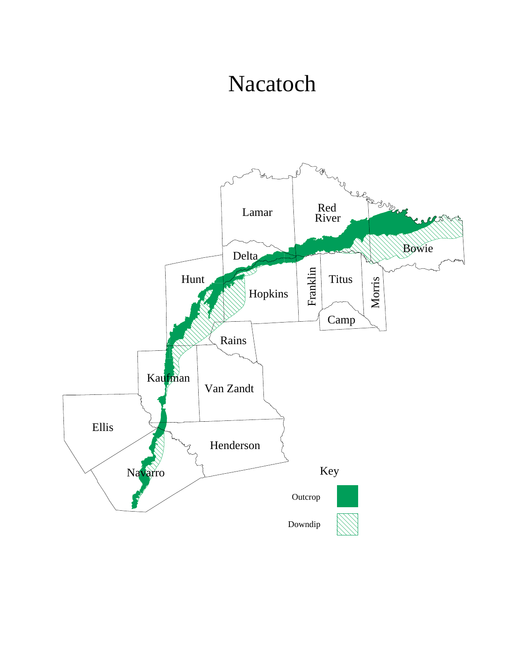## Nacatoch